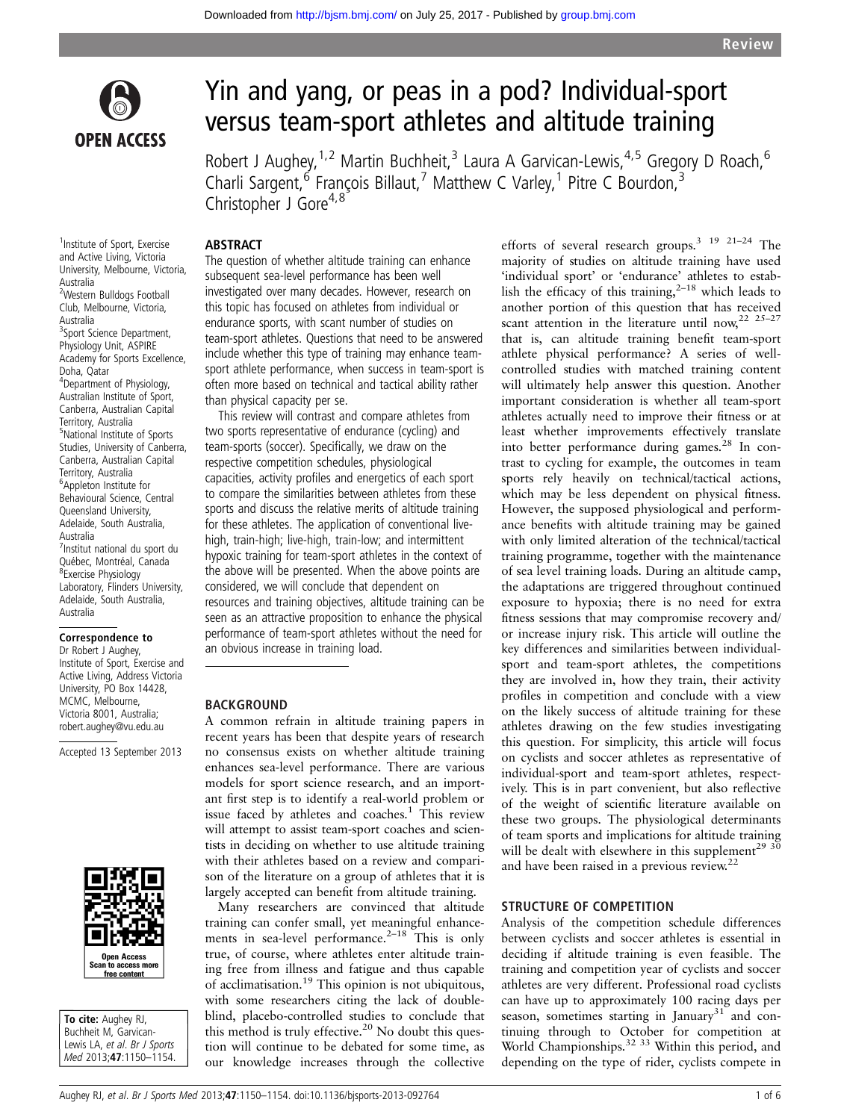

# Yin and yang, or peas in a pod? Individual-sport versus team-sport athletes and altitude training

Robert J Aughey,<sup>1,2</sup> Martin Buchheit,<sup>3</sup> Laura A Garvican-Lewis,<sup>4,5</sup> Gregory D Roach,<sup>6</sup> Charli Sargent, <sup>6</sup> François Billaut, 7 Matthew C Varley, <sup>1</sup> Pitre C Bourdon, <sup>3</sup> Christopher J Gore $4,8$ 

<sup>1</sup>Institute of Sport, Exercise and Active Living, Victoria University, Melbourne, Victoria, Australia <sup>2</sup>Western Bulldogs Football Club, Melbourne, Victoria, Australia <sup>3</sup>Sport Science Department, Physiology Unit, ASPIRE Academy for Sports Excellence, Doha, Qatar 4 Department of Physiology, Australian Institute of Sport, Canberra, Australian Capital Territory, Australia 5 National Institute of Sports Studies, University of Canberra, Canberra, Australian Capital Territory, Australia 6 Appleton Institute for Behavioural Science, Central Queensland University, Adelaide, South Australia, Australia 7 Institut national du sport du Québec, Montréal, Canada 8 Exercise Physiology Laboratory, Flinders University, Adelaide, South Australia, Australia

#### Correspondence to

Dr Robert J Aughey, Institute of Sport, Exercise and Active Living, Address Victoria University, PO Box 14428, MCMC, Melbourne, Victoria 8001, Australia; robert.aughey@vu.edu.au

Accepted 13 September 2013



To cite: Aughey RJ. Buchheit M, Garvican-Lewis LA, et al. Br J Sports Med 2013;47:1150–1154.

### ABSTRACT

The question of whether altitude training can enhance subsequent sea-level performance has been well investigated over many decades. However, research on this topic has focused on athletes from individual or endurance sports, with scant number of studies on team-sport athletes. Questions that need to be answered include whether this type of training may enhance teamsport athlete performance, when success in team-sport is often more based on technical and tactical ability rather than physical capacity per se.

This review will contrast and compare athletes from two sports representative of endurance (cycling) and team-sports (soccer). Specifically, we draw on the respective competition schedules, physiological capacities, activity profiles and energetics of each sport to compare the similarities between athletes from these sports and discuss the relative merits of altitude training for these athletes. The application of conventional livehigh, train-high; live-high, train-low; and intermittent hypoxic training for team-sport athletes in the context of the above will be presented. When the above points are considered, we will conclude that dependent on resources and training objectives, altitude training can be seen as an attractive proposition to enhance the physical performance of team-sport athletes without the need for an obvious increase in training load.

#### **BACKGROUND**

A common refrain in altitude training papers in recent years has been that despite years of research no consensus exists on whether altitude training enhances sea-level performance. There are various models for sport science research, and an important first step is to identify a real-world problem or issue faced by athletes and coaches.<sup>1</sup> This review will attempt to assist team-sport coaches and scientists in deciding on whether to use altitude training with their athletes based on a review and comparison of the literature on a group of athletes that it is largely accepted can benefit from altitude training.

Many researchers are convinced that altitude training can confer small, yet meaningful enhancements in sea-level performance. $2-18$  This is only true, of course, where athletes enter altitude training free from illness and fatigue and thus capable of acclimatisation.19 This opinion is not ubiquitous, with some researchers citing the lack of doubleblind, placebo-controlled studies to conclude that this method is truly effective. $20$  No doubt this question will continue to be debated for some time, as our knowledge increases through the collective

efforts of several research groups.<sup>3</sup> <sup>19</sup> <sup>21–24</sup> The majority of studies on altitude training have used 'individual sport' or 'endurance' athletes to establish the efficacy of this training, $2^{-18}$  which leads to another portion of this question that has received scant attention in the literature until now,  $22^{25-27}$ that is, can altitude training benefit team-sport athlete physical performance? A series of wellcontrolled studies with matched training content will ultimately help answer this question. Another important consideration is whether all team-sport athletes actually need to improve their fitness or at least whether improvements effectively translate into better performance during games.<sup>28</sup> In contrast to cycling for example, the outcomes in team sports rely heavily on technical/tactical actions, which may be less dependent on physical fitness. However, the supposed physiological and performance benefits with altitude training may be gained with only limited alteration of the technical/tactical training programme, together with the maintenance of sea level training loads. During an altitude camp, the adaptations are triggered throughout continued exposure to hypoxia; there is no need for extra fitness sessions that may compromise recovery and/ or increase injury risk. This article will outline the key differences and similarities between individualsport and team-sport athletes, the competitions they are involved in, how they train, their activity profiles in competition and conclude with a view on the likely success of altitude training for these athletes drawing on the few studies investigating this question. For simplicity, this article will focus on cyclists and soccer athletes as representative of individual-sport and team-sport athletes, respectively. This is in part convenient, but also reflective of the weight of scientific literature available on these two groups. The physiological determinants of team sports and implications for altitude training will be dealt with elsewhere in this supplement<sup>29</sup>  $30$ and have been raised in a previous review.<sup>22</sup>

#### STRUCTURE OF COMPETITION

Analysis of the competition schedule differences between cyclists and soccer athletes is essential in deciding if altitude training is even feasible. The training and competition year of cyclists and soccer athletes are very different. Professional road cyclists can have up to approximately 100 racing days per season, sometimes starting in January<sup>31</sup> and continuing through to October for competition at World Championships.<sup>32</sup> <sup>33</sup> Within this period, and depending on the type of rider, cyclists compete in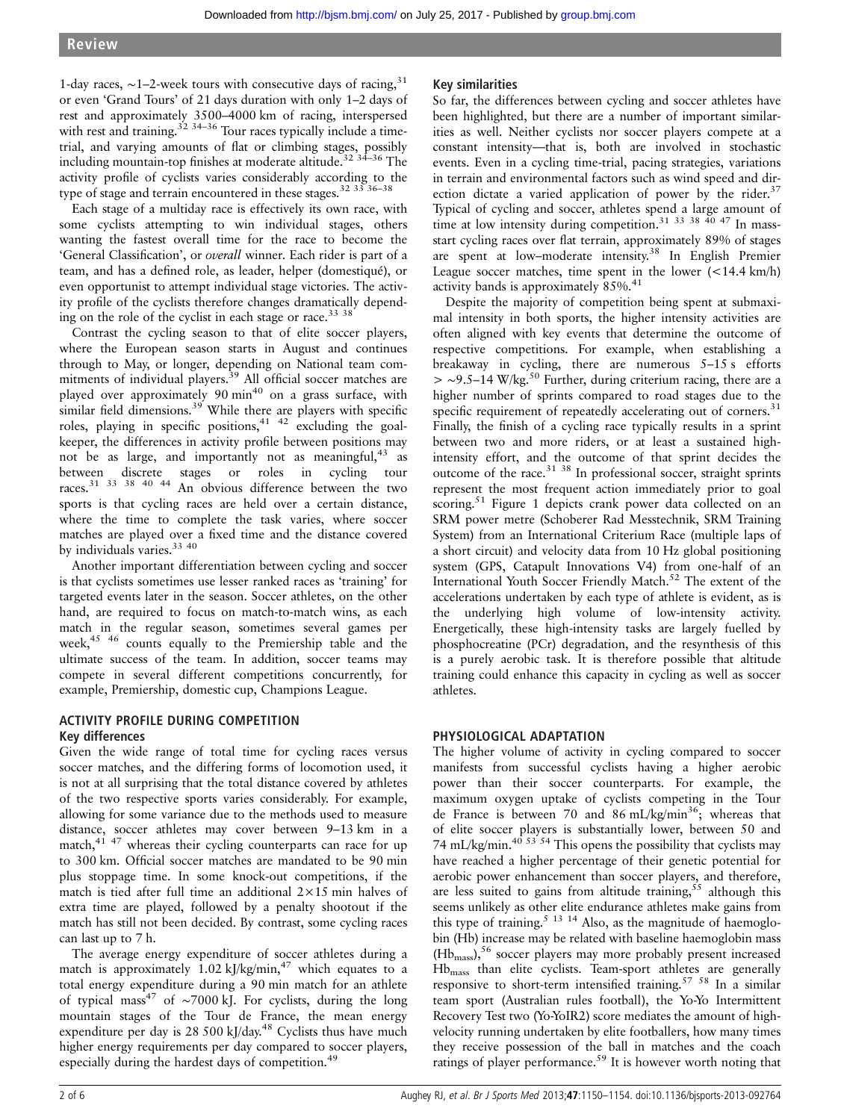1-day races,  $\sim$ 1–2-week tours with consecutive days of racing,<sup>31</sup> or even 'Grand Tours' of 21 days duration with only 1–2 days of rest and approximately 3500–4000 km of racing, interspersed with rest and training.<sup>32</sup> <sup>34–36</sup> Tour races typically include a timetrial, and varying amounts of flat or climbing stages, possibly including mountain-top finishes at moderate altitude.<sup>32</sup> <sup>34–36</sup> The activity profile of cyclists varies considerably according to the type of stage and terrain encountered in these stages.<sup>32</sup> 33<sup>36-38</sup>

Each stage of a multiday race is effectively its own race, with some cyclists attempting to win individual stages, others wanting the fastest overall time for the race to become the 'General Classification', or overall winner. Each rider is part of a team, and has a defined role, as leader, helper (domestiqué), or even opportunist to attempt individual stage victories. The activity profile of the cyclists therefore changes dramatically depending on the role of the cyclist in each stage or race.33 38

Contrast the cycling season to that of elite soccer players, where the European season starts in August and continues through to May, or longer, depending on National team commitments of individual players.<sup>39</sup> All official soccer matches are played over approximately 90 min<sup>40</sup> on a grass surface, with similar field dimensions.<sup>39</sup> While there are players with specific roles, playing in specific positions, $41/42$  excluding the goalkeeper, the differences in activity profile between positions may not be as large, and importantly not as meaningful, $43$  as between discrete stages or roles in cycling tour races.<sup>31 33 38 40 44</sup> An obvious difference between the two sports is that cycling races are held over a certain distance, where the time to complete the task varies, where soccer matches are played over a fixed time and the distance covered by individuals varies.<sup>33 40</sup>

Another important differentiation between cycling and soccer is that cyclists sometimes use lesser ranked races as 'training' for targeted events later in the season. Soccer athletes, on the other hand, are required to focus on match-to-match wins, as each match in the regular season, sometimes several games per week,45 46 counts equally to the Premiership table and the ultimate success of the team. In addition, soccer teams may compete in several different competitions concurrently, for example, Premiership, domestic cup, Champions League.

# ACTIVITY PROFILE DURING COMPETITION Key differences

Given the wide range of total time for cycling races versus soccer matches, and the differing forms of locomotion used, it is not at all surprising that the total distance covered by athletes of the two respective sports varies considerably. For example, allowing for some variance due to the methods used to measure distance, soccer athletes may cover between 9–13 km in a match, $41$   $47$  whereas their cycling counterparts can race for up to 300 km. Official soccer matches are mandated to be 90 min plus stoppage time. In some knock-out competitions, if the match is tied after full time an additional 2×15 min halves of extra time are played, followed by a penalty shootout if the match has still not been decided. By contrast, some cycling races can last up to 7 h.

The average energy expenditure of soccer athletes during a match is approximately 1.02 kJ/kg/min,<sup>47</sup> which equates to a total energy expenditure during a 90 min match for an athlete of typical mass47 of ∼7000 kJ. For cyclists, during the long mountain stages of the Tour de France, the mean energy expenditure per day is 28 500 kJ/day.<sup>48</sup> Cyclists thus have much higher energy requirements per day compared to soccer players, especially during the hardest days of competition.<sup>49</sup>

# Key similarities

So far, the differences between cycling and soccer athletes have been highlighted, but there are a number of important similarities as well. Neither cyclists nor soccer players compete at a constant intensity—that is, both are involved in stochastic events. Even in a cycling time-trial, pacing strategies, variations in terrain and environmental factors such as wind speed and direction dictate a varied application of power by the rider.<sup>37</sup> Typical of cycling and soccer, athletes spend a large amount of time at low intensity during competition.<sup>31 33</sup> <sup>38</sup> <sup>40</sup>  $\frac{47}{1}$  In massstart cycling races over flat terrain, approximately 89% of stages are spent at low–moderate intensity.<sup>38</sup> In English Premier League soccer matches, time spent in the lower  $\left($  < 14.4 km/h) activity bands is approximately 85%.<sup>41</sup>

Despite the majority of competition being spent at submaximal intensity in both sports, the higher intensity activities are often aligned with key events that determine the outcome of respective competitions. For example, when establishing a breakaway in cycling, there are numerous 5–15 s efforts > ∼9.5–14 W/kg.<sup>50</sup> Further, during criterium racing, there are a higher number of sprints compared to road stages due to the specific requirement of repeatedly accelerating out of corners.<sup>31</sup> Finally, the finish of a cycling race typically results in a sprint between two and more riders, or at least a sustained highintensity effort, and the outcome of that sprint decides the outcome of the race.31 38 In professional soccer, straight sprints represent the most frequent action immediately prior to goal scoring.<sup>51</sup> Figure 1 depicts crank power data collected on an SRM power metre (Schoberer Rad Messtechnik, SRM Training System) from an International Criterium Race (multiple laps of a short circuit) and velocity data from 10 Hz global positioning system (GPS, Catapult Innovations V4) from one-half of an International Youth Soccer Friendly Match.<sup>52</sup> The extent of the accelerations undertaken by each type of athlete is evident, as is the underlying high volume of low-intensity activity. Energetically, these high-intensity tasks are largely fuelled by phosphocreatine (PCr) degradation, and the resynthesis of this is a purely aerobic task. It is therefore possible that altitude training could enhance this capacity in cycling as well as soccer athletes.

# PHYSIOLOGICAL ADAPTATION

The higher volume of activity in cycling compared to soccer manifests from successful cyclists having a higher aerobic power than their soccer counterparts. For example, the maximum oxygen uptake of cyclists competing in the Tour de France is between 70 and 86 mL/kg/min<sup>36</sup>; whereas that of elite soccer players is substantially lower, between 50 and 74 mL/kg/min.<sup>40 53 54</sup> This opens the possibility that cyclists may have reached a higher percentage of their genetic potential for aerobic power enhancement than soccer players, and therefore, are less suited to gains from altitude training,  $55$  although this seems unlikely as other elite endurance athletes make gains from this type of training.<sup>5 13 14</sup> Also, as the magnitude of haemoglobin (Hb) increase may be related with baseline haemoglobin mass  $(Hb<sub>mass</sub>)$ ,<sup>56</sup> soccer players may more probably present increased Hbmass than elite cyclists. Team-sport athletes are generally responsive to short-term intensified training.57 58 In a similar team sport (Australian rules football), the Yo-Yo Intermittent Recovery Test two (Yo-YoIR2) score mediates the amount of highvelocity running undertaken by elite footballers, how many times they receive possession of the ball in matches and the coach ratings of player performance.<sup>59</sup> It is however worth noting that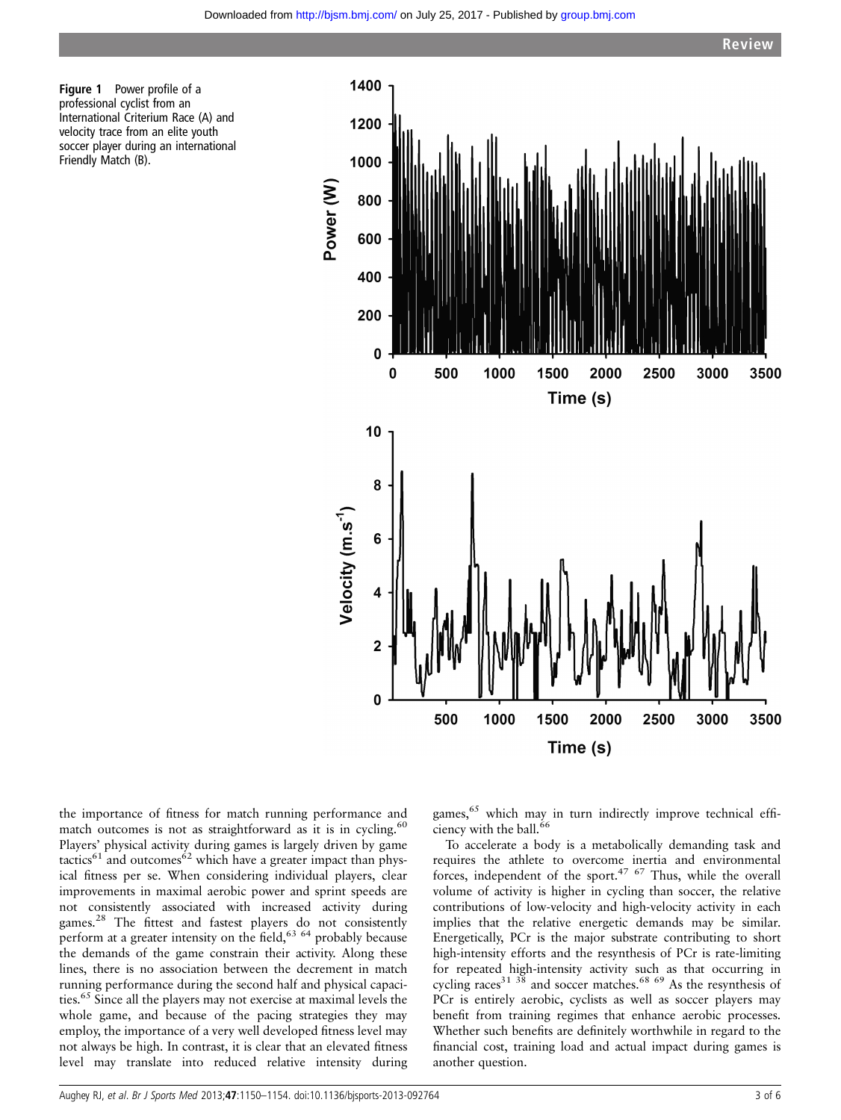



the importance of fitness for match running performance and match outcomes is not as straightforward as it is in cycling. $60$ Players' physical activity during games is largely driven by game tactics<sup>61</sup> and outcomes<sup>62</sup> which have a greater impact than physical fitness per se. When considering individual players, clear improvements in maximal aerobic power and sprint speeds are not consistently associated with increased activity during games.28 The fittest and fastest players do not consistently perform at a greater intensity on the field,  $63/64$  probably because the demands of the game constrain their activity. Along these lines, there is no association between the decrement in match running performance during the second half and physical capacities.<sup>65</sup> Since all the players may not exercise at maximal levels the whole game, and because of the pacing strategies they may employ, the importance of a very well developed fitness level may not always be high. In contrast, it is clear that an elevated fitness level may translate into reduced relative intensity during

games,<sup>65</sup> which may in turn indirectly improve technical efficiency with the ball.<sup>66</sup>

To accelerate a body is a metabolically demanding task and requires the athlete to overcome inertia and environmental forces, independent of the sport.<sup>47 67</sup> Thus, while the overall volume of activity is higher in cycling than soccer, the relative contributions of low-velocity and high-velocity activity in each implies that the relative energetic demands may be similar. Energetically, PCr is the major substrate contributing to short high-intensity efforts and the resynthesis of PCr is rate-limiting for repeated high-intensity activity such as that occurring in cycling races<sup>31</sup> <sup>38</sup> and soccer matches.<sup>68</sup> <sup>69</sup> As the resynthesis of PCr is entirely aerobic, cyclists as well as soccer players may benefit from training regimes that enhance aerobic processes. Whether such benefits are definitely worthwhile in regard to the financial cost, training load and actual impact during games is another question.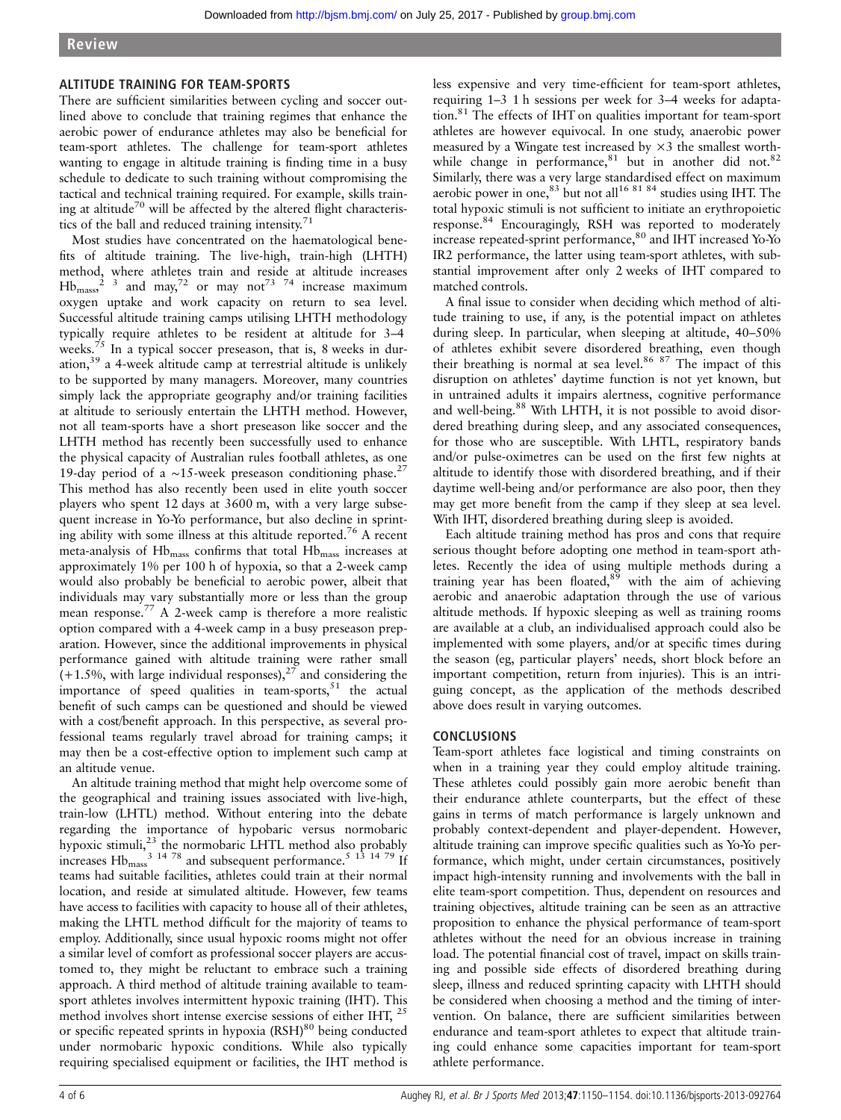## ALTITUDE TRAINING FOR TEAM-SPORTS

There are sufficient similarities between cycling and soccer outlined above to conclude that training regimes that enhance the aerobic power of endurance athletes may also be beneficial for team-sport athletes. The challenge for team-sport athletes wanting to engage in altitude training is finding time in a busy schedule to dedicate to such training without compromising the tactical and technical training required. For example, skills training at altitude<sup>70</sup> will be affected by the altered flight characteristics of the ball and reduced training intensity. $71$ 

Most studies have concentrated on the haematological benefits of altitude training. The live-high, train-high (LHTH) method, where athletes train and reside at altitude increases  $Hb<sub>mass</sub>$ ,  $^{2}$  3 and may,<sup>72</sup> or may not<sup>73 74</sup> increase maximum oxygen uptake and work capacity on return to sea level. Successful altitude training camps utilising LHTH methodology typically require athletes to be resident at altitude for 3–4 weeks.<sup>75</sup> In a typical soccer preseason, that is, 8 weeks in duration,39 a 4-week altitude camp at terrestrial altitude is unlikely to be supported by many managers. Moreover, many countries simply lack the appropriate geography and/or training facilities at altitude to seriously entertain the LHTH method. However, not all team-sports have a short preseason like soccer and the LHTH method has recently been successfully used to enhance the physical capacity of Australian rules football athletes, as one 19-day period of a ∼15-week preseason conditioning phase.<sup>27</sup> This method has also recently been used in elite youth soccer players who spent 12 days at 3600 m, with a very large subsequent increase in Yo-Yo performance, but also decline in sprinting ability with some illness at this altitude reported.<sup>76</sup> A recent meta-analysis of  $Hb<sub>mass</sub>$  confirms that total  $Hb<sub>mass</sub>$  increases at approximately 1% per 100 h of hypoxia, so that a 2-week camp would also probably be beneficial to aerobic power, albeit that individuals may vary substantially more or less than the group mean response.77 A 2-week camp is therefore a more realistic option compared with a 4-week camp in a busy preseason preparation. However, since the additional improvements in physical performance gained with altitude training were rather small  $(+1.5\%$ , with large individual responses),  $2^{7}$  and considering the importance of speed qualities in team-sports, $51$  the actual benefit of such camps can be questioned and should be viewed with a cost/benefit approach. In this perspective, as several professional teams regularly travel abroad for training camps; it may then be a cost-effective option to implement such camp at an altitude venue.

An altitude training method that might help overcome some of the geographical and training issues associated with live-high, train-low (LHTL) method. Without entering into the debate regarding the importance of hypobaric versus normobaric hypoxic stimuli, $^{23}$  the normobaric LHTL method also probably increases  $\text{Hb}_{\text{mass}}^3$ <sup>3 14 78</sup> and subsequent performance.<sup>5 13 14 79</sup> If teams had suitable facilities, athletes could train at their normal location, and reside at simulated altitude. However, few teams have access to facilities with capacity to house all of their athletes, making the LHTL method difficult for the majority of teams to employ. Additionally, since usual hypoxic rooms might not offer a similar level of comfort as professional soccer players are accustomed to, they might be reluctant to embrace such a training approach. A third method of altitude training available to teamsport athletes involves intermittent hypoxic training (IHT). This method involves short intense exercise sessions of either IHT, <sup>25</sup> or specific repeated sprints in hypoxia (RSH)<sup>80</sup> being conducted under normobaric hypoxic conditions. While also typically requiring specialised equipment or facilities, the IHT method is

less expensive and very time-efficient for team-sport athletes, requiring 1–3 1 h sessions per week for 3–4 weeks for adaptation.81 The effects of IHT on qualities important for team-sport athletes are however equivocal. In one study, anaerobic power measured by a Wingate test increased by  $\times$ 3 the smallest worthwhile change in performance,  $81$  but in another did not.  $82$ Similarly, there was a very large standardised effect on maximum aerobic power in one, $83$  but not all<sup>16 81</sup> 84 studies using IHT. The total hypoxic stimuli is not sufficient to initiate an erythropoietic response.84 Encouragingly, RSH was reported to moderately increase repeated-sprint performance,<sup>80</sup> and IHT increased Yo-Yo IR2 performance, the latter using team-sport athletes, with substantial improvement after only 2 weeks of IHT compared to matched controls.

A final issue to consider when deciding which method of altitude training to use, if any, is the potential impact on athletes during sleep. In particular, when sleeping at altitude, 40–50% of athletes exhibit severe disordered breathing, even though their breathing is normal at sea level.<sup>86 87</sup> The impact of this disruption on athletes' daytime function is not yet known, but in untrained adults it impairs alertness, cognitive performance and well-being.<sup>88</sup> With LHTH, it is not possible to avoid disordered breathing during sleep, and any associated consequences, for those who are susceptible. With LHTL, respiratory bands and/or pulse-oximetres can be used on the first few nights at altitude to identify those with disordered breathing, and if their daytime well-being and/or performance are also poor, then they may get more benefit from the camp if they sleep at sea level. With IHT, disordered breathing during sleep is avoided.

Each altitude training method has pros and cons that require serious thought before adopting one method in team-sport athletes. Recently the idea of using multiple methods during a training year has been floated,<sup>89</sup> with the aim of achieving aerobic and anaerobic adaptation through the use of various altitude methods. If hypoxic sleeping as well as training rooms are available at a club, an individualised approach could also be implemented with some players, and/or at specific times during the season (eg, particular players' needs, short block before an important competition, return from injuries). This is an intriguing concept, as the application of the methods described above does result in varying outcomes.

# CONCLUSIONS

Team-sport athletes face logistical and timing constraints on when in a training year they could employ altitude training. These athletes could possibly gain more aerobic benefit than their endurance athlete counterparts, but the effect of these gains in terms of match performance is largely unknown and probably context-dependent and player-dependent. However, altitude training can improve specific qualities such as Yo-Yo performance, which might, under certain circumstances, positively impact high-intensity running and involvements with the ball in elite team-sport competition. Thus, dependent on resources and training objectives, altitude training can be seen as an attractive proposition to enhance the physical performance of team-sport athletes without the need for an obvious increase in training load. The potential financial cost of travel, impact on skills training and possible side effects of disordered breathing during sleep, illness and reduced sprinting capacity with LHTH should be considered when choosing a method and the timing of intervention. On balance, there are sufficient similarities between endurance and team-sport athletes to expect that altitude training could enhance some capacities important for team-sport athlete performance.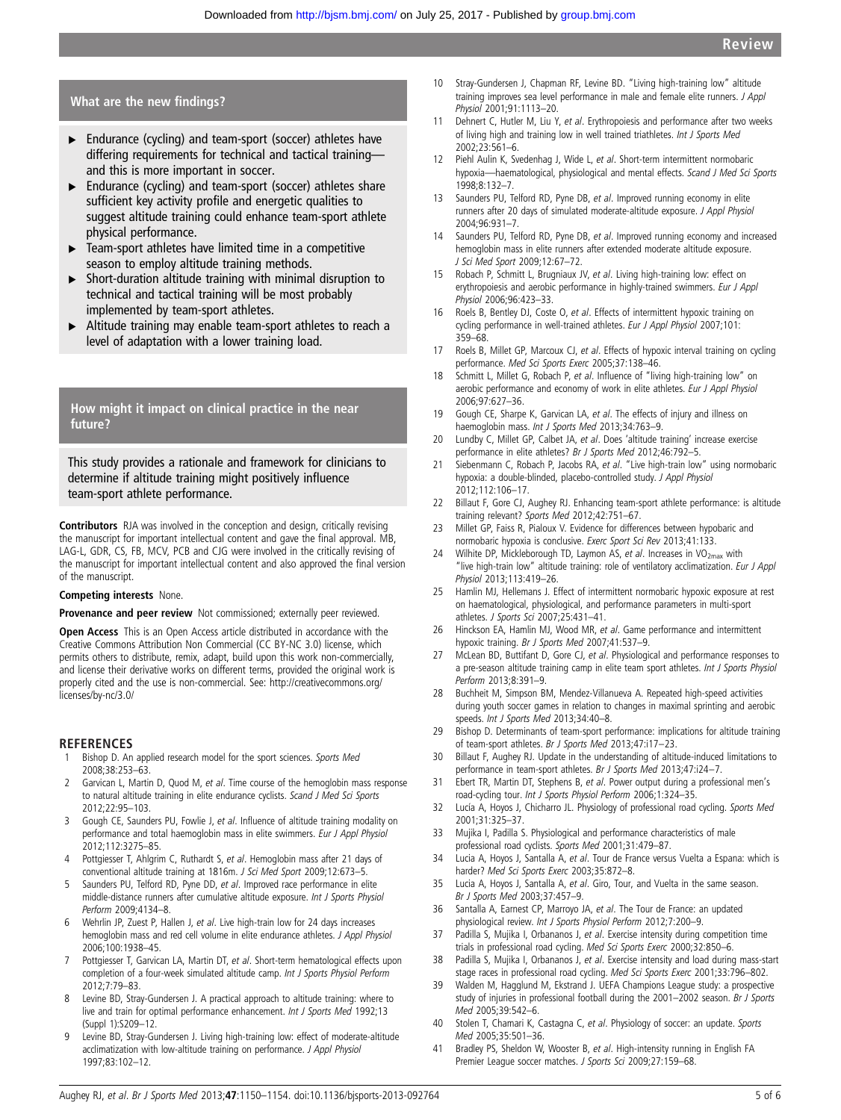# What are the new findings?

- ▶ Endurance (cycling) and team-sport (soccer) athletes have differing requirements for technical and tactical training and this is more important in soccer.
- ▸ Endurance (cycling) and team-sport (soccer) athletes share sufficient key activity profile and energetic qualities to suggest altitude training could enhance team-sport athlete physical performance.
- $\blacktriangleright$  Team-sport athletes have limited time in a competitive season to employ altitude training methods.
- ▸ Short-duration altitude training with minimal disruption to technical and tactical training will be most probably implemented by team-sport athletes.
- Altitude training may enable team-sport athletes to reach a level of adaptation with a lower training load.

How might it impact on clinical practice in the near future?

This study provides a rationale and framework for clinicians to determine if altitude training might positively influence team-sport athlete performance.

Contributors RJA was involved in the conception and design, critically revising the manuscript for important intellectual content and gave the final approval. MB, LAG-L, GDR, CS, FB, MCV, PCB and CJG were involved in the critically revising of the manuscript for important intellectual content and also approved the final version of the manuscript.

#### Competing interests None.

Provenance and peer review Not commissioned; externally peer reviewed.

Open Access This is an Open Access article distributed in accordance with the Creative Commons Attribution Non Commercial (CC BY-NC 3.0) license, which permits others to distribute, remix, adapt, build upon this work non-commercially, and license their derivative works on different terms, provided the original work is properly cited and the use is non-commercial. See: [http://creativecommons.org/](http://creativecommons.org/licenses/by-nc/3.0/) [licenses/by-nc/3.0/](http://creativecommons.org/licenses/by-nc/3.0/)

#### **REFERENCES**

- Bishop D. An applied research model for the sport sciences. Sports Med 2008;38:253–63.
- 2 Garvican L, Martin D, Quod M, et al. Time course of the hemoglobin mass response to natural altitude training in elite endurance cyclists. Scand J Med Sci Sports 2012;22:95–103.
- 3 Gough CE, Saunders PU, Fowlie J, et al. Influence of altitude training modality on performance and total haemoglobin mass in elite swimmers. Eur J Appl Physiol 2012;112:3275–85.
- 4 Pottgiesser T, Ahlgrim C, Ruthardt S, et al. Hemoglobin mass after 21 days of conventional altitude training at 1816m. J Sci Med Sport 2009;12:673-5.
- 5 Saunders PU, Telford RD, Pyne DD, et al. Improved race performance in elite middle-distance runners after cumulative altitude exposure. Int J Sports Physiol Perform 2009;4134–8.
- 6 Wehrlin JP, Zuest P, Hallen J, et al. Live high-train low for 24 days increases hemoglobin mass and red cell volume in elite endurance athletes. J Appl Physiol 2006;100:1938–45.
- 7 Pottgiesser T, Garvican LA, Martin DT, et al. Short-term hematological effects upon completion of a four-week simulated altitude camp. Int J Sports Physiol Perform 2012;7:79–83.
- 8 Levine BD, Stray-Gundersen J. A practical approach to altitude training: where to live and train for optimal performance enhancement. Int J Sports Med 1992;13 (Suppl 1):S209–12.
- 9 Levine BD, Stray-Gundersen J. Living high-training low: effect of moderate-altitude acclimatization with low-altitude training on performance. J Appl Physiol 1997;83:102–12.
- 10 Stray-Gundersen J, Chapman RF, Levine BD. "Living high-training low" altitude training improves sea level performance in male and female elite runners. J Appl Physiol 2001;91:1113–20.
- 11 Dehnert C, Hutler M, Liu Y, et al. Erythropoiesis and performance after two weeks of living high and training low in well trained triathletes. Int J Sports Med 2002;23:561–6.
- Piehl Aulin K, Svedenhag J, Wide L, et al. Short-term intermittent normobaric hypoxia-haematological, physiological and mental effects. Scand J Med Sci Sports 1998;8:132–7.
- 13 Saunders PU, Telford RD, Pyne DB, et al. Improved running economy in elite runners after 20 days of simulated moderate-altitude exposure. J Appl Physiol 2004;96:931–7.
- 14 Saunders PU, Telford RD, Pyne DB, et al. Improved running economy and increased hemoglobin mass in elite runners after extended moderate altitude exposure. J Sci Med Sport 2009;12:67–72.
- 15 Robach P, Schmitt L, Brugniaux JV, et al. Living high-training low: effect on erythropoiesis and aerobic performance in highly-trained swimmers. Eur J Appl Physiol 2006;96:423–33.
- 16 Roels B, Bentley DJ, Coste O, et al. Effects of intermittent hypoxic training on cycling performance in well-trained athletes. Eur J Appl Physiol 2007;101: 359–68.
- 17 Roels B, Millet GP, Marcoux CJ, et al. Effects of hypoxic interval training on cycling performance. Med Sci Sports Exerc 2005;37:138–46.
- 18 Schmitt L, Millet G, Robach P, et al. Influence of "living high-training low" on aerobic performance and economy of work in elite athletes. Eur J Appl Physiol 2006;97:627–36.
- 19 Gough CE, Sharpe K, Garvican LA, et al. The effects of injury and illness on haemoglobin mass. Int J Sports Med 2013;34:763-9.
- 20 Lundby C, Millet GP, Calbet JA, et al. Does 'altitude training' increase exercise performance in elite athletes? Br J Sports Med 2012;46:792–5.
- 21 Siebenmann C, Robach P, Jacobs RA, et al. "Live high-train low" using normobaric hypoxia: a double-blinded, placebo-controlled study. J Appl Physiol 2012;112:106–17.
- 22 Billaut F, Gore CJ, Aughey RJ. Enhancing team-sport athlete performance: is altitude training relevant? Sports Med 2012;42:751–67.
- 23 Millet GP, Faiss R, Pialoux V. Evidence for differences between hypobaric and normobaric hypoxia is conclusive. Exerc Sport Sci Rev 2013;41:133.
- 24 Wilhite DP, Mickleborough TD, Laymon AS, et al. Increases in VO<sub>2max</sub> with "live high-train low" altitude training: role of ventilatory acclimatization. Eur J Appl Physiol 2013;113:419–26.
- 25 Hamlin MJ, Hellemans J. Effect of intermittent normobaric hypoxic exposure at rest on haematological, physiological, and performance parameters in multi-sport athletes. J Sports Sci 2007;25:431–41.
- 26 Hinckson EA, Hamlin MJ, Wood MR, et al. Game performance and intermittent hypoxic training. Br J Sports Med 2007;41:537–9.
- 27 McLean BD, Buttifant D, Gore CJ, et al. Physiological and performance responses to a pre-season altitude training camp in elite team sport athletes. Int J Sports Physiol Perform 2013;8:391–9.
- 28 Buchheit M, Simpson BM, Mendez-Villanueva A. Repeated high-speed activities during youth soccer games in relation to changes in maximal sprinting and aerobic speeds. Int J Sports Med 2013;34:40-8.
- 29 Bishop D. Determinants of team-sport performance: implications for altitude training of team-sport athletes. Br J Sports Med 2013;47:i17–23.
- 30 Billaut F, Aughey RJ. Update in the understanding of altitude-induced limitations to performance in team-sport athletes. Br J Sports Med 2013;47:i24–7.
- 31 Ebert TR, Martin DT, Stephens B, et al. Power output during a professional men's road-cycling tour. Int J Sports Physiol Perform 2006;1:324–35.
- 32 Lucía A, Hoyos J, Chicharro JL. Physiology of professional road cycling. Sports Med 2001;31:325–37.
- 33 Mujika I, Padilla S. Physiological and performance characteristics of male professional road cyclists. Sports Med 2001;31:479–87.
- 34 Lucia A, Hoyos J, Santalla A, et al. Tour de France versus Vuelta a Espana: which is harder? Med Sci Sports Exerc 2003;35:872-8.
- 35 Lucia A, Hoyos J, Santalla A, et al. Giro, Tour, and Vuelta in the same season. Br J Sports Med 2003;37:457–9.
- 36 Santalla A, Earnest CP, Marroyo JA, et al. The Tour de France: an updated physiological review. Int J Sports Physiol Perform 2012;7:200–9.
- 37 Padilla S, Mujika I, Orbananos J, et al. Exercise intensity during competition time trials in professional road cycling. Med Sci Sports Exerc 2000;32:850-6.
- 38 Padilla S, Mujika I, Orbananos J, et al. Exercise intensity and load during mass-start stage races in professional road cycling. Med Sci Sports Exerc 2001;33:796–802.
- 39 Walden M, Hagglund M, Ekstrand J. UEFA Champions League study: a prospective study of injuries in professional football during the 2001–2002 season. Br J Sports Med 2005;39:542–6.
- 40 Stolen T, Chamari K, Castagna C, et al. Physiology of soccer: an update. Sports Med 2005;35:501–36.
- 41 Bradley PS, Sheldon W, Wooster B, et al. High-intensity running in English FA Premier League soccer matches. J Sports Sci 2009;27:159-68.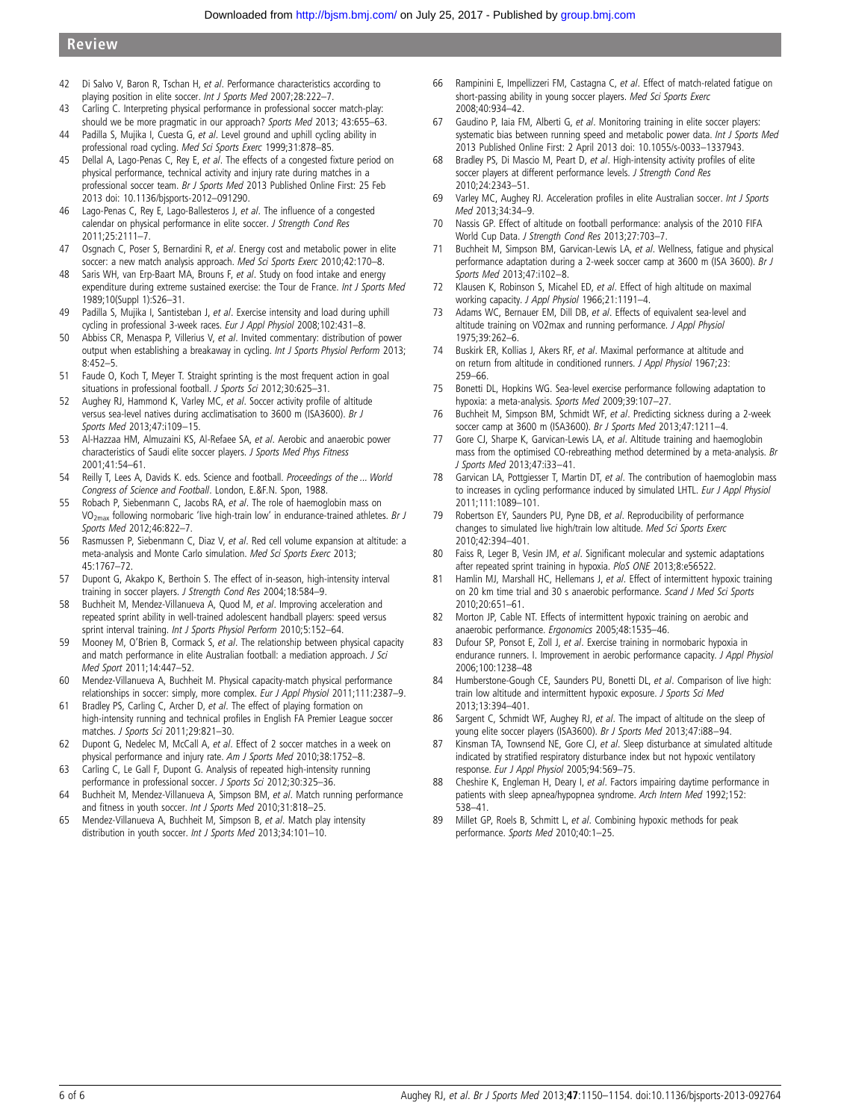- 42 Di Salvo V, Baron R, Tschan H, et al. Performance characteristics according to playing position in elite soccer. Int J Sports Med 2007;28:222–7.
- 43 Carling C. Interpreting physical performance in professional soccer match-play: should we be more pragmatic in our approach? Sports Med 2013; 43:655–63.
- 44 Padilla S, Mujika I, Cuesta G, et al. Level ground and uphill cycling ability in professional road cycling. Med Sci Sports Exerc 1999;31:878–85.
- 45 Dellal A, Lago-Penas C, Rey E, et al. The effects of a congested fixture period on physical performance, technical activity and injury rate during matches in a professional soccer team. Br J Sports Med 2013 Published Online First: 25 Feb 2013 doi: [10.1136/bjsports-2012](http://dx.doi.org/10.1136/bjsports-2012–091290)–091290.
- 46 Lago-Penas C, Rey E, Lago-Ballesteros J, et al. The influence of a congested calendar on physical performance in elite soccer. J Strength Cond Res 2011;25:2111–7.
- 47 Osgnach C, Poser S, Bernardini R, et al. Energy cost and metabolic power in elite soccer: a new match analysis approach. Med Sci Sports Exerc 2010;42:170-8.
- 48 Saris WH, van Erp-Baart MA, Brouns F, et al. Study on food intake and energy expenditure during extreme sustained exercise: the Tour de France. Int J Sports Med 1989;10(Suppl 1):S26–31.
- 49 Padilla S, Mujika I, Santisteban J, et al. Exercise intensity and load during uphill cycling in professional 3-week races. Eur J Appl Physiol 2008;102:431–8.
- 50 Abbiss CR, Menaspa P, Villerius V, et al. Invited commentary: distribution of power output when establishing a breakaway in cycling. Int J Sports Physiol Perform 2013; 8:452–5.
- 51 Faude O, Koch T, Meyer T. Straight sprinting is the most frequent action in goal situations in professional football. J Sports Sci 2012;30:625–31.
- 52 Aughey RJ, Hammond K, Varley MC, et al. Soccer activity profile of altitude versus sea-level natives during acclimatisation to 3600 m (ISA3600). Br J Sports Med 2013;47:i109–15.
- 53 Al-Hazzaa HM, Almuzaini KS, Al-Refaee SA, et al. Aerobic and anaerobic power characteristics of Saudi elite soccer players. J Sports Med Phys Fitness 2001;41:54–61.
- 54 Reilly T, Lees A, Davids K. eds. Science and football. Proceedings of the ... World Congress of Science and Football. London, E.&F.N. Spon, 1988.
- 55 Robach P, Siebenmann C, Jacobs RA, et al. The role of haemoglobin mass on VO<sub>2max</sub> following normobaric 'live high-train low' in endurance-trained athletes. Br J Sports Med 2012;46:822–7.
- 56 Rasmussen P, Siebenmann C, Diaz V, et al. Red cell volume expansion at altitude: a meta-analysis and Monte Carlo simulation. Med Sci Sports Exerc 2013; 45:1767–72.
- 57 Dupont G, Akakpo K, Berthoin S. The effect of in-season, high-intensity interval training in soccer players. J Strength Cond Res 2004;18:584–9.
- 58 Buchheit M, Mendez-Villanueva A, Quod M, et al. Improving acceleration and repeated sprint ability in well-trained adolescent handball players: speed versus sprint interval training. Int J Sports Physiol Perform 2010;5:152–64.
- 59 Mooney M, O'Brien B, Cormack S, et al. The relationship between physical capacity and match performance in elite Australian football: a mediation approach. J Sci Med Sport 2011;14:447–52.
- 60 Mendez-Villanueva A, Buchheit M. Physical capacity-match physical performance relationships in soccer: simply, more complex. Eur J Appl Physiol 2011;111:2387-9.
- 61 Bradley PS, Carling C, Archer D, et al. The effect of playing formation on high-intensity running and technical profiles in English FA Premier League soccer matches. J Sports Sci 2011;29:821–30.
- 62 Dupont G, Nedelec M, McCall A, et al. Effect of 2 soccer matches in a week on physical performance and injury rate. Am J Sports Med 2010;38:1752–8.
- 63 Carling C, Le Gall F, Dupont G. Analysis of repeated high-intensity running performance in professional soccer. J Sports Sci 2012;30:325–36.
- 64 Buchheit M, Mendez-Villanueva A, Simpson BM, et al. Match running performance and fitness in youth soccer. Int J Sports Med 2010;31:818–25.
- 65 Mendez-Villanueva A, Buchheit M, Simpson B, et al. Match play intensity distribution in youth soccer. Int J Sports Med 2013;34:101–10.
- 66 Rampinini E, Impellizzeri FM, Castagna C, et al. Effect of match-related fatigue on short-passing ability in young soccer players. Med Sci Sports Exerc 2008;40:934–42.
- 67 Gaudino P, Iaia FM, Alberti G, et al. Monitoring training in elite soccer players: systematic bias between running speed and metabolic power data. Int J Sports Med 2013 Published Online First: 2 April 2013 doi: [10.1055/s-0033](http://dx.doi.org/10.1055/s-0033–1337943)–1337943.
- Bradley PS, Di Mascio M, Peart D, et al. High-intensity activity profiles of elite soccer players at different performance levels. J Strength Cond Res 2010;24:2343–51.
- 69 Varley MC, Aughey RJ. Acceleration profiles in elite Australian soccer. Int J Sports Med 2013;34:34–9.
- 70 Nassis GP. Effect of altitude on football performance: analysis of the 2010 FIFA World Cup Data. J Strength Cond Res 2013;27:703–7.
- 71 Buchheit M, Simpson BM, Garvican-Lewis LA, et al. Wellness, fatigue and physical performance adaptation during a 2-week soccer camp at 3600 m (ISA 3600). Br J Sports Med 2013;47:i102–8.
- 72 Klausen K, Robinson S, Micahel ED, et al. Effect of high altitude on maximal working capacity. J Appl Physiol 1966;21:1191–4.
- 73 Adams WC, Bernauer EM, Dill DB, et al. Effects of equivalent sea-level and altitude training on VO2max and running performance. J Appl Physiol 1975;39:262–6.
- 74 Buskirk ER, Kollias J, Akers RF, et al. Maximal performance at altitude and on return from altitude in conditioned runners. J Appl Physiol 1967;23: 259–66.
- 75 Bonetti DL, Hopkins WG. Sea-level exercise performance following adaptation to hypoxia: a meta-analysis. Sports Med 2009;39:107–27.
- 76 Buchheit M, Simpson BM, Schmidt WF, et al. Predicting sickness during a 2-week soccer camp at 3600 m (ISA3600). Br J Sports Med 2013;47:1211–4.
- 77 Gore CJ, Sharpe K, Garvican-Lewis LA, et al. Altitude training and haemoglobin mass from the optimised CO-rebreathing method determined by a meta-analysis. Br J Sports Med 2013;47:i33–41.
- 78 Garvican LA, Pottgiesser T, Martin DT, et al. The contribution of haemoglobin mass to increases in cycling performance induced by simulated LHTL. Eur J Appl Physiol 2011;111:1089–101.
- 79 Robertson EY, Saunders PU, Pyne DB, et al. Reproducibility of performance changes to simulated live high/train low altitude. Med Sci Sports Exerc 2010;42:394–401.
- 80 Faiss R, Leger B, Vesin JM, et al. Significant molecular and systemic adaptations after repeated sprint training in hypoxia. PloS ONE 2013;8:e56522.
- 81 Hamlin MJ, Marshall HC, Hellemans J, et al. Effect of intermittent hypoxic training on 20 km time trial and 30 s anaerobic performance. Scand J Med Sci Sports 2010;20:651–61.
- 82 Morton JP, Cable NT. Effects of intermittent hypoxic training on aerobic and anaerobic performance. Ergonomics 2005;48:1535–46.
- 83 Dufour SP, Ponsot E, Zoll J, et al. Exercise training in normobaric hypoxia in endurance runners. I. Improvement in aerobic performance capacity. J Appl Physiol 2006;100:1238–48
- 84 Humberstone-Gough CE, Saunders PU, Bonetti DL, et al. Comparison of live high: train low altitude and intermittent hypoxic exposure. J Sports Sci Med 2013;13:394–401.
- 86 Sargent C, Schmidt WF, Aughey RJ, et al. The impact of altitude on the sleep of young elite soccer players (ISA3600). Br J Sports Med 2013;47:i88-94.
- 87 Kinsman TA, Townsend NE, Gore CJ, et al. Sleep disturbance at simulated altitude indicated by stratified respiratory disturbance index but not hypoxic ventilatory response. Eur J Appl Physiol 2005;94:569–75.
- 88 Cheshire K, Engleman H, Deary I, et al. Factors impairing daytime performance in patients with sleep apnea/hypopnea syndrome. Arch Intern Med 1992;152: 538–41.
- 89 Millet GP, Roels B, Schmitt L, et al. Combining hypoxic methods for peak performance. Sports Med 2010;40:1–25.